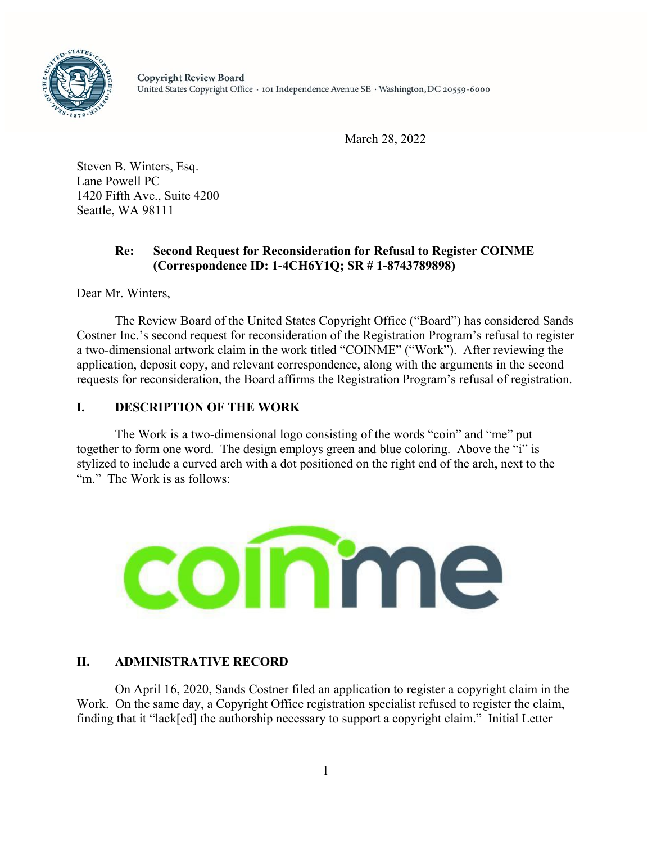

March 28, 2022

Steven B. Winters, Esq. Lane Powell PC 1420 Fifth Ave., Suite 4200 Seattle, WA 98111

## **Re: Second Request for Reconsideration for Refusal to Register COINME (Correspondence ID: 1-4CH6Y1Q; SR # 1-8743789898)**

Dear Mr. Winters,

The Review Board of the United States Copyright Office ("Board") has considered Sands Costner Inc.'s second request for reconsideration of the Registration Program's refusal to register a two-dimensional artwork claim in the work titled "COINME" ("Work"). After reviewing the application, deposit copy, and relevant correspondence, along with the arguments in the second requests for reconsideration, the Board affirms the Registration Program's refusal of registration.

### **I. DESCRIPTION OF THE WORK**

The Work is a two-dimensional logo consisting of the words "coin" and "me" put together to form one word. The design employs green and blue coloring. Above the "i" is stylized to include a curved arch with a dot positioned on the right end of the arch, next to the "m." The Work is as follows:



# **II. ADMINISTRATIVE RECORD**

On April 16, 2020, Sands Costner filed an application to register a copyright claim in the Work. On the same day, a Copyright Office registration specialist refused to register the claim, finding that it "lack[ed] the authorship necessary to support a copyright claim." Initial Letter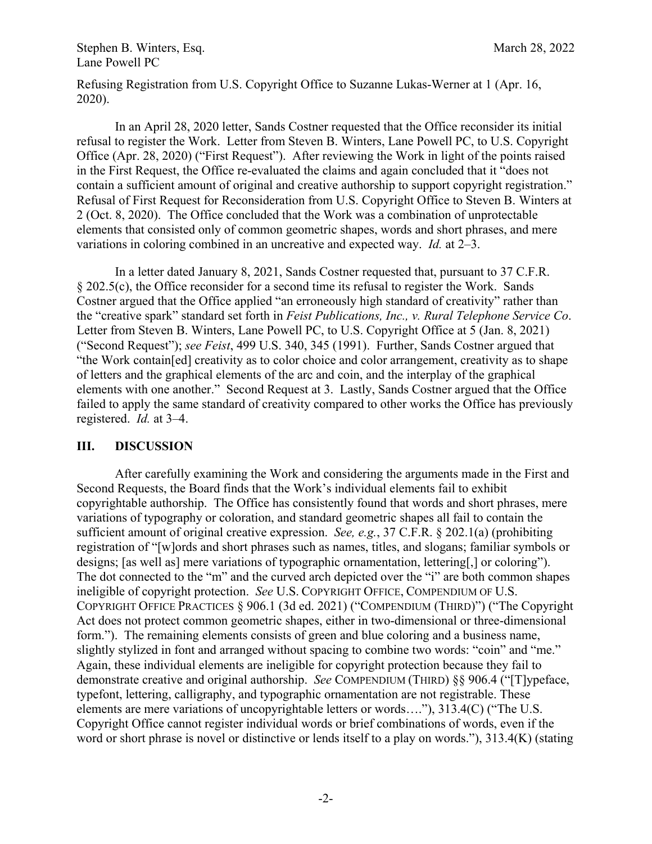Stephen B. Winters, Esq. March 28, 2022 Lane Powell PC

Refusing Registration from U.S. Copyright Office to Suzanne Lukas-Werner at 1 (Apr. 16, 2020).

In an April 28, 2020 letter, Sands Costner requested that the Office reconsider its initial refusal to register the Work. Letter from Steven B. Winters, Lane Powell PC, to U.S. Copyright Office (Apr. 28, 2020) ("First Request"). After reviewing the Work in light of the points raised in the First Request, the Office re-evaluated the claims and again concluded that it "does not contain a sufficient amount of original and creative authorship to support copyright registration." Refusal of First Request for Reconsideration from U.S. Copyright Office to Steven B. Winters at 2 (Oct. 8, 2020). The Office concluded that the Work was a combination of unprotectable elements that consisted only of common geometric shapes, words and short phrases, and mere variations in coloring combined in an uncreative and expected way. *Id.* at 2–3.

In a letter dated January 8, 2021, Sands Costner requested that, pursuant to 37 C.F.R. § 202.5(c), the Office reconsider for a second time its refusal to register the Work. Sands Costner argued that the Office applied "an erroneously high standard of creativity" rather than the "creative spark" standard set forth in *Feist Publications, Inc., v. Rural Telephone Service Co*. Letter from Steven B. Winters, Lane Powell PC, to U.S. Copyright Office at 5 (Jan. 8, 2021) ("Second Request"); *see Feist*, 499 U.S. 340, 345 (1991). Further, Sands Costner argued that "the Work contain[ed] creativity as to color choice and color arrangement, creativity as to shape of letters and the graphical elements of the arc and coin, and the interplay of the graphical elements with one another." Second Request at 3. Lastly, Sands Costner argued that the Office failed to apply the same standard of creativity compared to other works the Office has previously registered. *Id.* at 3–4.

#### **III. DISCUSSION**

After carefully examining the Work and considering the arguments made in the First and Second Requests, the Board finds that the Work's individual elements fail to exhibit copyrightable authorship. The Office has consistently found that words and short phrases, mere variations of typography or coloration, and standard geometric shapes all fail to contain the sufficient amount of original creative expression. *See, e.g.*, 37 C.F.R. § 202.1(a) (prohibiting registration of "[w]ords and short phrases such as names, titles, and slogans; familiar symbols or designs; [as well as] mere variations of typographic ornamentation, lettering[,] or coloring"). The dot connected to the "m" and the curved arch depicted over the "i" are both common shapes ineligible of copyright protection. *See* U.S. COPYRIGHT OFFICE, COMPENDIUM OF U.S. COPYRIGHT OFFICE PRACTICES § 906.1 (3d ed. 2021) ("COMPENDIUM (THIRD)") ("The Copyright Act does not protect common geometric shapes, either in two-dimensional or three-dimensional form."). The remaining elements consists of green and blue coloring and a business name, slightly stylized in font and arranged without spacing to combine two words: "coin" and "me." Again, these individual elements are ineligible for copyright protection because they fail to demonstrate creative and original authorship. *See* COMPENDIUM (THIRD) §§ 906.4 ("[T]ypeface, typefont, lettering, calligraphy, and typographic ornamentation are not registrable. These elements are mere variations of uncopyrightable letters or words…."), 313.4(C) ("The U.S. Copyright Office cannot register individual words or brief combinations of words, even if the word or short phrase is novel or distinctive or lends itself to a play on words."), 313.4(K) (stating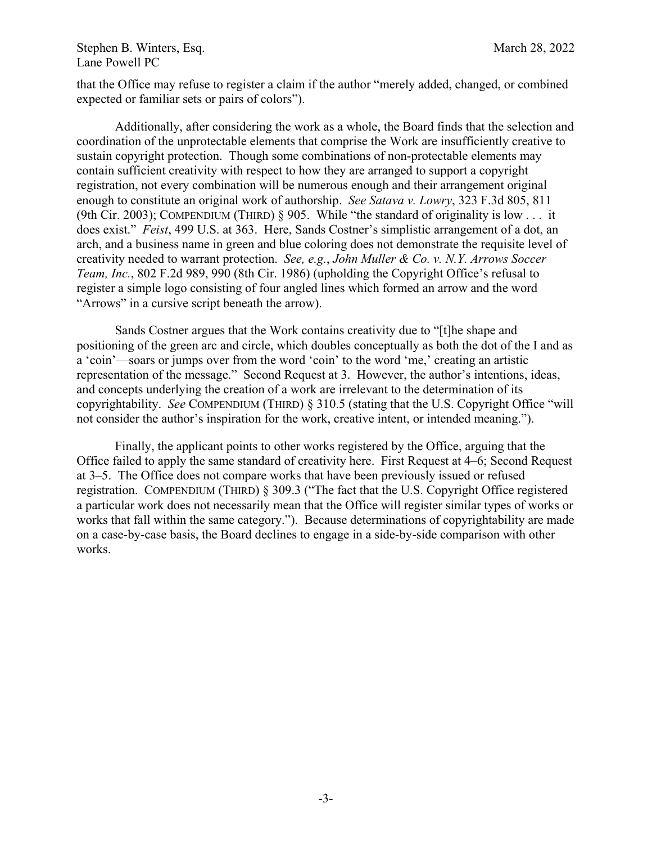### Stephen B. Winters, Esq. March 28, 2022 Lane Powell PC

that the Office may refuse to register a claim if the author "merely added, changed, or combined expected or familiar sets or pairs of colors").

Additionally, after considering the work as a whole, the Board finds that the selection and coordination of the unprotectable elements that comprise the Work are insufficiently creative to sustain copyright protection. Though some combinations of non-protectable elements may contain sufficient creativity with respect to how they are arranged to support a copyright registration, not every combination will be numerous enough and their arrangement original enough to constitute an original work of authorship. *See Satava v. Lowry*, 323 F.3d 805, 811 (9th Cir. 2003); COMPENDIUM (THIRD)  $\S$  905. While "the standard of originality is low ... it does exist." *Feist*, 499 U.S. at 363. Here, Sands Costner's simplistic arrangement of a dot, an arch, and a business name in green and blue coloring does not demonstrate the requisite level of creativity needed to warrant protection. *See, e.g.*, *John Muller & Co. v. N.Y. Arrows Soccer Team, Inc.*, 802 F.2d 989, 990 (8th Cir. 1986) (upholding the Copyright Office's refusal to register a simple logo consisting of four angled lines which formed an arrow and the word "Arrows" in a cursive script beneath the arrow).

Sands Costner argues that the Work contains creativity due to "[t]he shape and positioning of the green arc and circle, which doubles conceptually as both the dot of the I and as a 'coin'—soars or jumps over from the word 'coin' to the word 'me,' creating an artistic representation of the message." Second Request at 3. However, the author's intentions, ideas, and concepts underlying the creation of a work are irrelevant to the determination of its copyrightability. *See* COMPENDIUM (THIRD) § 310.5 (stating that the U.S. Copyright Office "will not consider the author's inspiration for the work, creative intent, or intended meaning.").

Finally, the applicant points to other works registered by the Office, arguing that the Office failed to apply the same standard of creativity here. First Request at 4–6; Second Request at 3–5. The Office does not compare works that have been previously issued or refused registration. COMPENDIUM (THIRD) § 309.3 ("The fact that the U.S. Copyright Office registered a particular work does not necessarily mean that the Office will register similar types of works or works that fall within the same category."). Because determinations of copyrightability are made on a case-by-case basis, the Board declines to engage in a side-by-side comparison with other works.